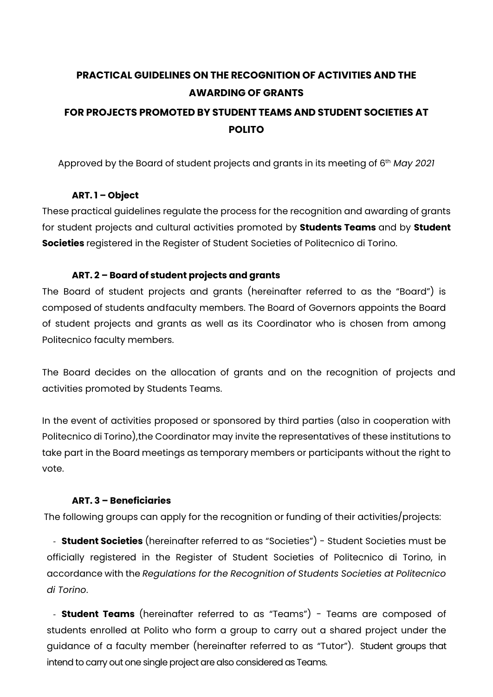# **PRACTICAL GUIDELINES ON THE RECOGNITION OF ACTIVITIES AND THE AWARDING OF GRANTS**

# **FOR PROJECTS PROMOTED BY STUDENT TEAMS AND STUDENT SOCIETIES AT POLITO**

Approved by the Board of student projects and grants in its meeting of 6th *May 2021*

#### **ART. 1 – Object**

These practical guidelines regulate the process for the recognition and awarding of grants for student projects and cultural activities promoted by **Students Teams** and by **Student Societies** registered in the Register of Student Societies of Politecnico di Torino.

#### **ART. 2 – Board of student projects and grants**

The Board of student projects and grants (hereinafter referred to as the "Board") is composed of students andfaculty members. The Board of Governors appoints the Board of student projects and grants as well as its Coordinator who is chosen from among Politecnico faculty members.

The Board decides on the allocation of grants and on the recognition of projects and activities promoted by Students Teams.

In the event of activities proposed or sponsored by third parties (also in cooperation with Politecnico di Torino),the Coordinator may invite the representatives of these institutions to take part in the Board meetings as temporary members or participants without the right to vote.

#### **ART. 3 – Beneficiaries**

The following groups can apply for the recognition or funding of their activities/projects:

- **Student Societies** (hereinafter referred to as "Societies") - Student Societies must be officially registered in the Register of Student Societies of Politecnico di Torino, in accordance with the *Regulations for the Recognition of Students Societies at Politecnico di Torino*.

- **Student Teams** (hereinafter referred to as "Teams") - Teams are composed of students enrolled at Polito who form a group to carry out a shared project under the guidance of a faculty member (hereinafter referred to as "Tutor"). Student groups that intend to carry out one single project are also considered as Teams.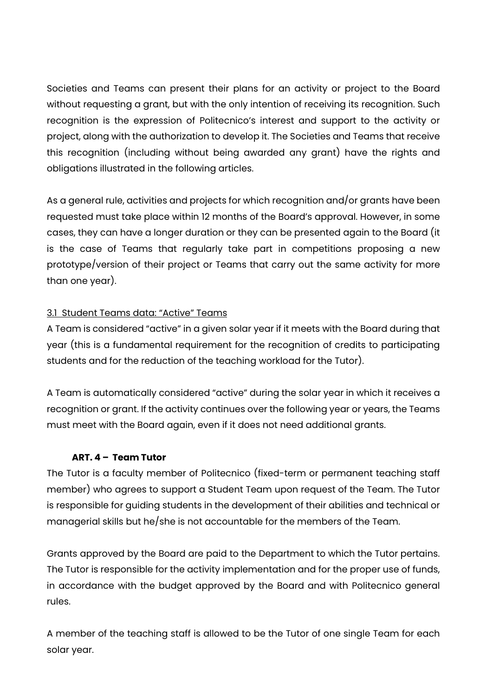Societies and Teams can present their plans for an activity or project to the Board without requesting a grant, but with the only intention of receiving its recognition. Such recognition is the expression of Politecnico's interest and support to the activity or project, along with the authorization to develop it. The Societies and Teams that receive this recognition (including without being awarded any grant) have the rights and obligations illustrated in the following articles.

As a general rule, activities and projects for which recognition and/or grants have been requested must take place within 12 months of the Board's approval. However, in some cases, they can have a longer duration or they can be presented again to the Board (it is the case of Teams that regularly take part in competitions proposing a new prototype/version of their project or Teams that carry out the same activity for more than one year).

#### 3.1 Student Teams data: "Active" Teams

A Team is considered "active" in a given solar year if it meets with the Board during that year (this is a fundamental requirement for the recognition of credits to participating students and for the reduction of the teaching workload for the Tutor).

A Team is automatically considered "active" during the solar year in which it receives a recognition or grant. If the activity continues over the following year or years, the Teams must meet with the Board again, even if it does not need additional grants.

#### **ART. 4 – Team Tutor**

The Tutor is a faculty member of Politecnico (fixed-term or permanent teaching staff member) who agrees to support a Student Team upon request of the Team. The Tutor is responsible for guiding students in the development of their abilities and technical or managerial skills but he/she is not accountable for the members of the Team.

Grants approved by the Board are paid to the Department to which the Tutor pertains. The Tutor is responsible for the activity implementation and for the proper use of funds, in accordance with the budget approved by the Board and with Politecnico general rules.

A member of the teaching staff is allowed to be the Tutor of one single Team for each solar year.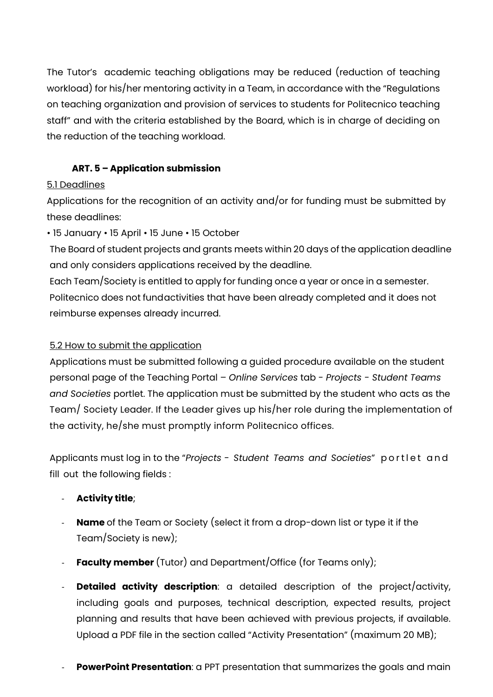The Tutor's academic teaching obligations may be reduced (reduction of teaching workload) for his/her mentoring activity in a Team, in accordance with the "Regulations on teaching organization and provision of services to students for Politecnico teaching staff" and with the criteria established by the Board, which is in charge of deciding on the reduction of the teaching workload.

# **ART. 5 – Application submission**

# 5.1 Deadlines

Applications for the recognition of an activity and/or for funding must be submitted by these deadlines:

• 15 January • 15 April • 15 June • 15 October

The Board of student projects and grants meets within 20 days of the application deadline and only considers applications received by the deadline.

Each Team/Society is entitled to apply for funding once a year or once in a semester. Politecnico does not fundactivities that have been already completed and it does not reimburse expenses already incurred.

# 5.2 How to submit the application

Applications must be submitted following a guided procedure available on the student personal page of the Teaching Portal – *Online Services* tab - *Projects - Student Teams and Societies* portlet. The application must be submitted by the student who acts as the Team/ Society Leader. If the Leader gives up his/her role during the implementation of the activity, he/she must promptly inform Politecnico offices.

Applicants must log in to the "*Projects - Student Teams and Societies*" portlet and fill out the following fields :

- **Activity title**;
- **Name** of the Team or Society (select it from a drop-down list or type it if the Team/Society is new);
- **Faculty member** (Tutor) and Department/Office (for Teams only);
- **Detailed activity description**: a detailed description of the project/activity, including goals and purposes, technical description, expected results, project planning and results that have been achieved with previous projects, if available. Upload a PDF file in the section called "Activity Presentation" (maximum 20 MB);
- **PowerPoint Presentation**: a PPT presentation that summarizes the goals and main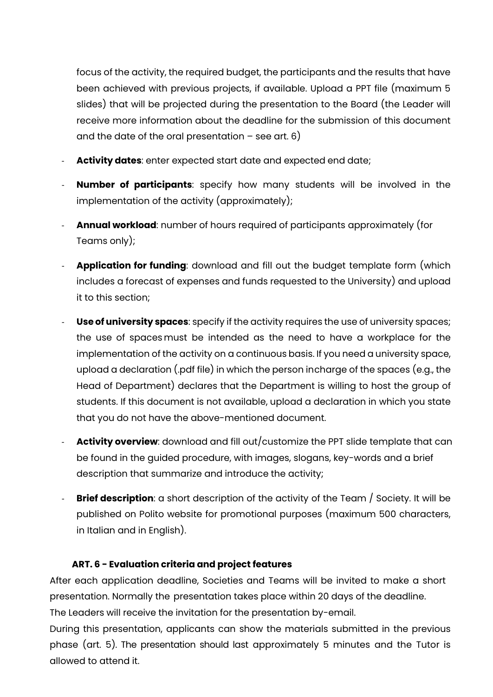focus of the activity, the required budget, the participants and the results that have been achieved with previous projects, if available. Upload a PPT file (maximum 5 slides) that will be projected during the presentation to the Board (the Leader will receive more information about the deadline for the submission of this document and the date of the oral presentation  $-$  see art. 6)

- Activity dates: enter expected start date and expected end date;
- **Number of participants**: specify how many students will be involved in the implementation of the activity (approximately);
- **Annual workload**: number of hours required of participants approximately (for Teams only);
- **Application for funding**: download and fill out the budget template form (which includes a forecast of expenses and funds requested to the University) and upload it to this section;
- **Use of university spaces:** specify if the activity requires the use of university spaces; the use of spaces must be intended as the need to have a workplace for the implementation of the activity on a continuous basis. If you need a university space, upload a declaration (.pdf file) in which the person incharge of the spaces (e.g., the Head of Department) declares that the Department is willing to host the group of students. If this document is not available, upload a declaration in which you state that you do not have the above-mentioned document.
- **Activity overview**: download and fill out/customize the PPT slide template that can be found in the guided procedure, with images, slogans, key-words and a brief description that summarize and introduce the activity;
- **Brief description**: a short description of the activity of the Team / Society. It will be published on Polito website for promotional purposes (maximum 500 characters, in Italian and in English).

### **ART. 6 - Evaluation criteria and project features**

After each application deadline, Societies and Teams will be invited to make a short presentation. Normally the presentation takes place within 20 days of the deadline. The Leaders will receive the invitation for the presentation by-email.

During this presentation, applicants can show the materials submitted in the previous phase (art. 5). The presentation should last approximately 5 minutes and the Tutor is allowed to attend it.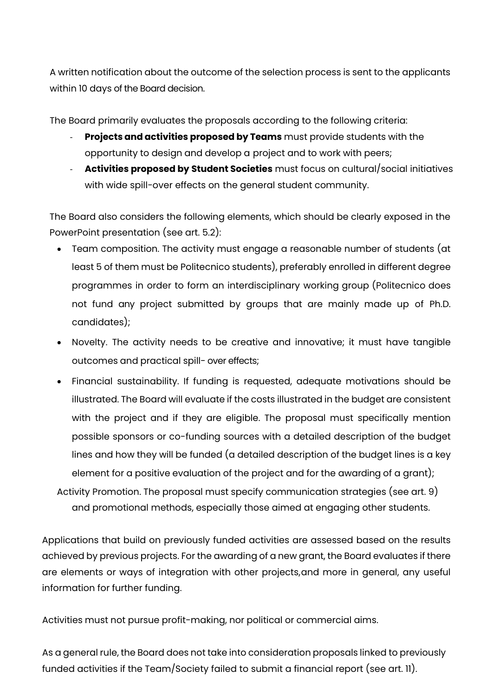A written notification about the outcome of the selection process is sent to the applicants within 10 days of the Board decision.

The Board primarily evaluates the proposals according to the following criteria:

- **Projects and activities proposed by Teams** must provide students with the opportunity to design and develop a project and to work with peers;
- **Activities proposed by Student Societies** must focus on cultural/social initiatives with wide spill-over effects on the general student community.

The Board also considers the following elements, which should be clearly exposed in the PowerPoint presentation (see art. 5.2):

- Team composition. The activity must engage a reasonable number of students (at least 5 of them must be Politecnico students), preferably enrolled in different degree programmes in order to form an interdisciplinary working group (Politecnico does not fund any project submitted by groups that are mainly made up of Ph.D. candidates);
- Novelty. The activity needs to be creative and innovative; it must have tangible outcomes and practical spill- over effects;
- Financial sustainability. If funding is requested, adequate motivations should be illustrated. The Board will evaluate if the costs illustrated in the budget are consistent with the project and if they are eligible. The proposal must specifically mention possible sponsors or co-funding sources with a detailed description of the budget lines and how they will be funded (a detailed description of the budget lines is a key element for a positive evaluation of the project and for the awarding of a grant);

Activity Promotion. The proposal must specify communication strategies (see art. 9) and promotional methods, especially those aimed at engaging other students.

Applications that build on previously funded activities are assessed based on the results achieved by previous projects. For the awarding of a new grant, the Board evaluates if there are elements or ways of integration with other projects,and more in general, any useful information for further funding.

Activities must not pursue profit-making, nor political or commercial aims.

As a general rule, the Board does not take into consideration proposals linked to previously funded activities if the Team/Society failed to submit a financial report (see art. 11).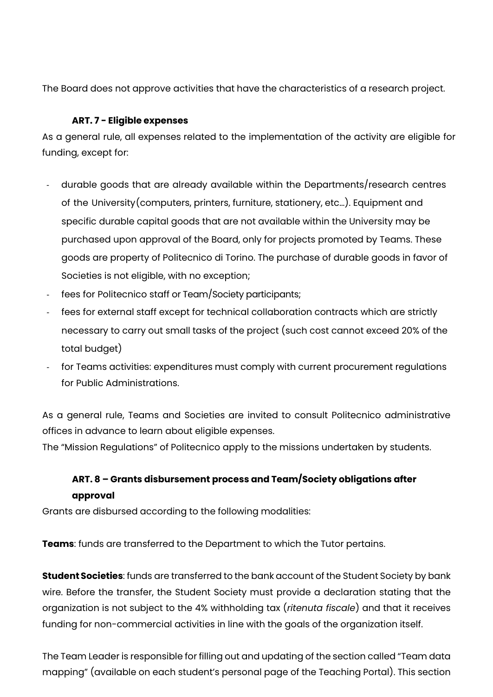The Board does not approve activities that have the characteristics of a research project.

# **ART. 7 - Eligible expenses**

As a general rule, all expenses related to the implementation of the activity are eligible for funding, except for:

- durable goods that are already available within the Departments/research centres of the University(computers, printers, furniture, stationery, etc…). Equipment and specific durable capital goods that are not available within the University may be purchased upon approval of the Board, only for projects promoted by Teams. These goods are property of Politecnico di Torino. The purchase of durable goods in favor of Societies is not eligible, with no exception;
- fees for Politecnico staff or Team/Society participants;
- fees for external staff except for technical collaboration contracts which are strictly necessary to carry out small tasks of the project (such cost cannot exceed 20% of the total budget)
- for Teams activities: expenditures must comply with current procurement regulations for Public Administrations.

As a general rule, Teams and Societies are invited to consult Politecnico administrative offices in advance to learn about eligible expenses.

The "Mission Regulations" of Politecnico apply to the missions undertaken by students.

# **ART. 8 – Grants disbursement process and Team/Society obligations after approval**

Grants are disbursed according to the following modalities:

**Teams**: funds are transferred to the Department to which the Tutor pertains.

**Student Societies**: funds are transferred to the bank account of the Student Society by bank wire. Before the transfer, the Student Society must provide a declaration stating that the organization is not subject to the 4% withholding tax (*ritenuta fiscale*) and that it receives funding for non-commercial activities in line with the goals of the organization itself.

The Team Leader is responsible for filling out and updating of the section called "Team data mapping" (available on each student's personal page of the Teaching Portal). This section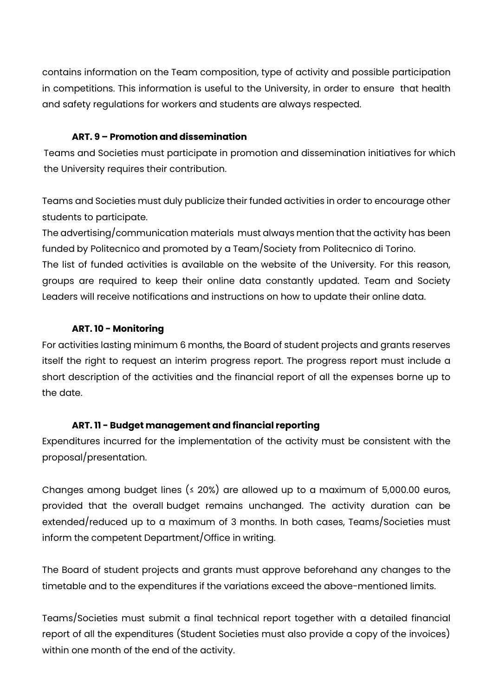contains information on the Team composition, type of activity and possible participation in competitions. This information is useful to the University, in order to ensure that health and safety regulations for workers and students are always respected.

#### **ART. 9 – Promotion and dissemination**

Teams and Societies must participate in promotion and dissemination initiatives for which the University requires their contribution.

Teams and Societies must duly publicize their funded activities in order to encourage other students to participate.

The advertising/communication materials must always mention that the activity has been funded by Politecnico and promoted by a Team/Society from Politecnico di Torino. The list of funded activities is available on the website of the University. For this reason, groups are required to keep their online data constantly updated. Team and Society Leaders will receive notifications and instructions on how to update their online data.

### **ART. 10 - Monitoring**

For activities lasting minimum 6 months, the Board of student projects and grants reserves itself the right to request an interim progress report. The progress report must include a short description of the activities and the financial report of all the expenses borne up to the date.

### **ART. 11 - Budget management and financial reporting**

Expenditures incurred for the implementation of the activity must be consistent with the proposal/presentation.

Changes among budget lines ( $\leq$  20%) are allowed up to a maximum of 5,000.00 euros, provided that the overall budget remains unchanged. The activity duration can be extended/reduced up to a maximum of 3 months. In both cases, Teams/Societies must inform the competent Department/Office in writing.

The Board of student projects and grants must approve beforehand any changes to the timetable and to the expenditures if the variations exceed the above-mentioned limits.

Teams/Societies must submit a final technical report together with a detailed financial report of all the expenditures (Student Societies must also provide a copy of the invoices) within one month of the end of the activity.